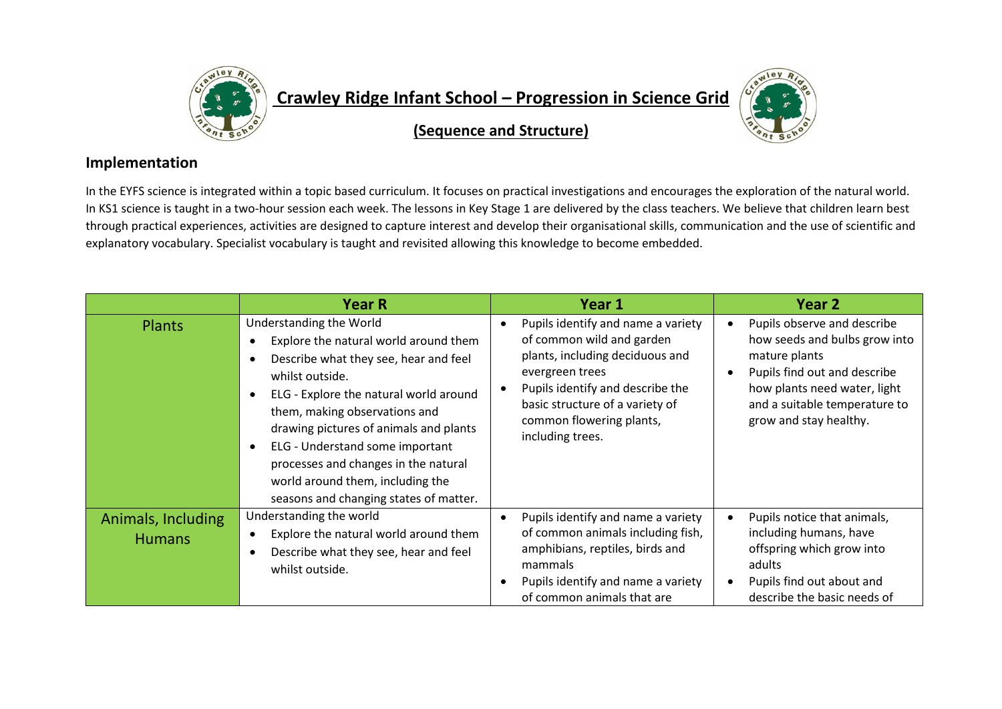

## **Crawley Ridge Infant School – Progression in Science Grid**



**(Sequence and Structure)**

## **Implementation**

In the EYFS science is integrated within a topic based curriculum. It focuses on practical investigations and encourages the exploration of the natural world. In KS1 science is taught in a two-hour session each week. The lessons in Key Stage 1 are delivered by the class teachers. We believe that children learn best through practical experiences, activities are designed to capture interest and develop their organisational skills, communication and the use of scientific and explanatory vocabulary. Specialist vocabulary is taught and revisited allowing this knowledge to become embedded.

|                                     | <b>Year R</b>                                                                                                                                                                                                                                                                                                                                                                                              | Year 1                                                                                                                                                                                                                                       | Year 2                                                                                                                                                                                                                |
|-------------------------------------|------------------------------------------------------------------------------------------------------------------------------------------------------------------------------------------------------------------------------------------------------------------------------------------------------------------------------------------------------------------------------------------------------------|----------------------------------------------------------------------------------------------------------------------------------------------------------------------------------------------------------------------------------------------|-----------------------------------------------------------------------------------------------------------------------------------------------------------------------------------------------------------------------|
| <b>Plants</b>                       | Understanding the World<br>Explore the natural world around them<br>Describe what they see, hear and feel<br>whilst outside.<br>ELG - Explore the natural world around<br>them, making observations and<br>drawing pictures of animals and plants<br>ELG - Understand some important<br>processes and changes in the natural<br>world around them, including the<br>seasons and changing states of matter. | Pupils identify and name a variety<br>of common wild and garden<br>plants, including deciduous and<br>evergreen trees<br>Pupils identify and describe the<br>basic structure of a variety of<br>common flowering plants,<br>including trees. | Pupils observe and describe<br>$\bullet$<br>how seeds and bulbs grow into<br>mature plants<br>Pupils find out and describe<br>how plants need water, light<br>and a suitable temperature to<br>grow and stay healthy. |
| Animals, Including<br><b>Humans</b> | Understanding the world<br>Explore the natural world around them<br>Describe what they see, hear and feel<br>whilst outside.                                                                                                                                                                                                                                                                               | Pupils identify and name a variety<br>of common animals including fish,<br>amphibians, reptiles, birds and<br>mammals<br>Pupils identify and name a variety<br>of common animals that are                                                    | Pupils notice that animals,<br>$\bullet$<br>including humans, have<br>offspring which grow into<br>adults<br>Pupils find out about and<br>describe the basic needs of                                                 |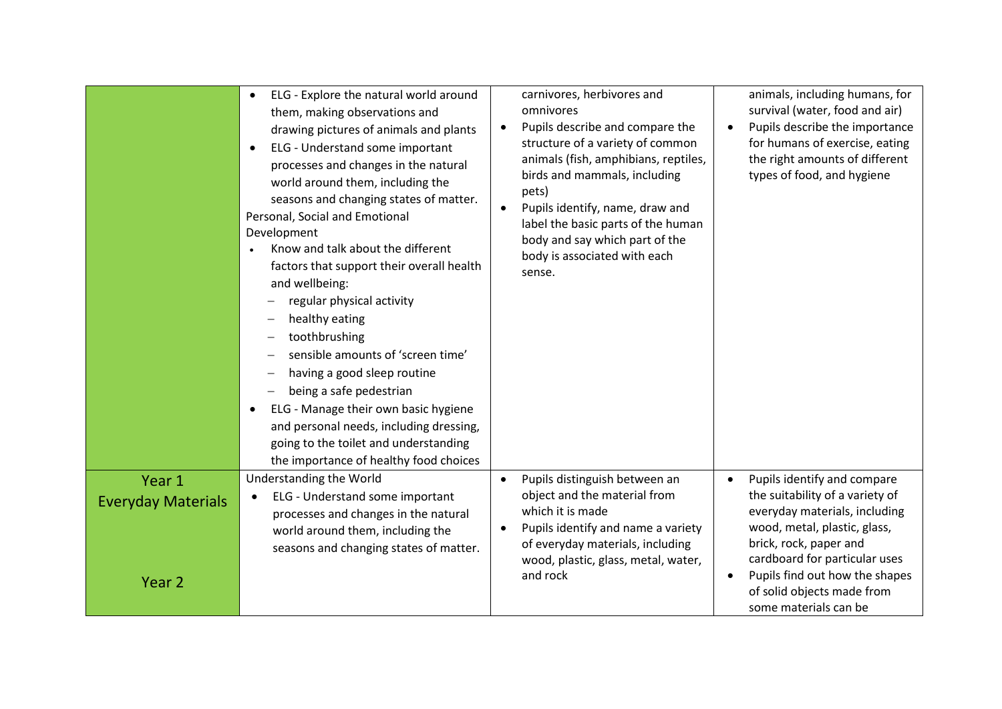|                                                          | ELG - Explore the natural world around<br>$\bullet$<br>them, making observations and<br>drawing pictures of animals and plants<br>ELG - Understand some important<br>$\bullet$<br>processes and changes in the natural<br>world around them, including the<br>seasons and changing states of matter.<br>Personal, Social and Emotional<br>Development<br>Know and talk about the different<br>$\bullet$<br>factors that support their overall health<br>and wellbeing:<br>regular physical activity<br>healthy eating<br>toothbrushing<br>sensible amounts of 'screen time'<br>having a good sleep routine<br>being a safe pedestrian<br>ELG - Manage their own basic hygiene<br>$\bullet$<br>and personal needs, including dressing,<br>going to the toilet and understanding<br>the importance of healthy food choices | carnivores, herbivores and<br>omnivores<br>Pupils describe and compare the<br>structure of a variety of common<br>animals (fish, amphibians, reptiles,<br>birds and mammals, including<br>pets)<br>Pupils identify, name, draw and<br>label the basic parts of the human<br>body and say which part of the<br>body is associated with each<br>sense. | animals, including humans, for<br>survival (water, food and air)<br>Pupils describe the importance<br>for humans of exercise, eating<br>the right amounts of different<br>types of food, and hygiene                                                                                             |
|----------------------------------------------------------|--------------------------------------------------------------------------------------------------------------------------------------------------------------------------------------------------------------------------------------------------------------------------------------------------------------------------------------------------------------------------------------------------------------------------------------------------------------------------------------------------------------------------------------------------------------------------------------------------------------------------------------------------------------------------------------------------------------------------------------------------------------------------------------------------------------------------|------------------------------------------------------------------------------------------------------------------------------------------------------------------------------------------------------------------------------------------------------------------------------------------------------------------------------------------------------|--------------------------------------------------------------------------------------------------------------------------------------------------------------------------------------------------------------------------------------------------------------------------------------------------|
| Year 1<br><b>Everyday Materials</b><br>Year <sub>2</sub> | Understanding the World<br>ELG - Understand some important<br>$\bullet$<br>processes and changes in the natural<br>world around them, including the<br>seasons and changing states of matter.                                                                                                                                                                                                                                                                                                                                                                                                                                                                                                                                                                                                                            | Pupils distinguish between an<br>$\bullet$<br>object and the material from<br>which it is made<br>Pupils identify and name a variety<br>of everyday materials, including<br>wood, plastic, glass, metal, water,<br>and rock                                                                                                                          | Pupils identify and compare<br>$\bullet$<br>the suitability of a variety of<br>everyday materials, including<br>wood, metal, plastic, glass,<br>brick, rock, paper and<br>cardboard for particular uses<br>Pupils find out how the shapes<br>of solid objects made from<br>some materials can be |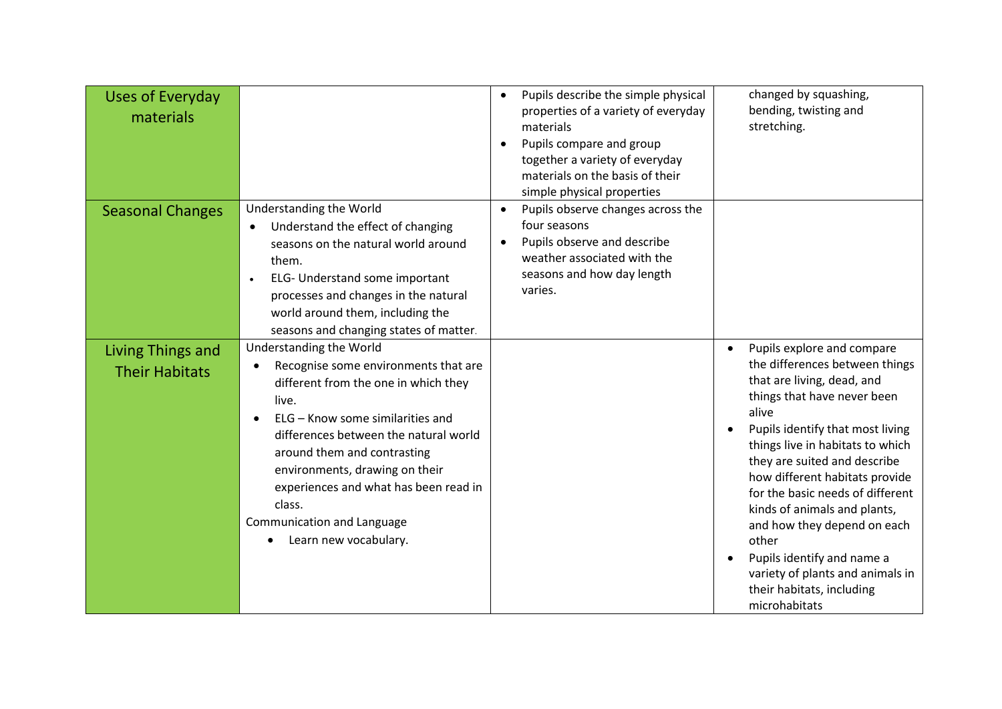| <b>Uses of Everyday</b><br>materials       |                                                                                                                                                                                                                                                                                                                                                                                      | $\bullet$<br>$\bullet$ | Pupils describe the simple physical<br>properties of a variety of everyday<br>materials<br>Pupils compare and group<br>together a variety of everyday<br>materials on the basis of their<br>simple physical properties |           | changed by squashing,<br>bending, twisting and<br>stretching.                                                                                                                                                                                                                                                                                                                                                                                                                                            |
|--------------------------------------------|--------------------------------------------------------------------------------------------------------------------------------------------------------------------------------------------------------------------------------------------------------------------------------------------------------------------------------------------------------------------------------------|------------------------|------------------------------------------------------------------------------------------------------------------------------------------------------------------------------------------------------------------------|-----------|----------------------------------------------------------------------------------------------------------------------------------------------------------------------------------------------------------------------------------------------------------------------------------------------------------------------------------------------------------------------------------------------------------------------------------------------------------------------------------------------------------|
| <b>Seasonal Changes</b>                    | Understanding the World<br>Understand the effect of changing<br>$\bullet$<br>seasons on the natural world around<br>them.<br>ELG- Understand some important<br>$\bullet$<br>processes and changes in the natural<br>world around them, including the<br>seasons and changing states of matter.                                                                                       | $\bullet$              | Pupils observe changes across the<br>four seasons<br>Pupils observe and describe<br>weather associated with the<br>seasons and how day length<br>varies.                                                               |           |                                                                                                                                                                                                                                                                                                                                                                                                                                                                                                          |
| Living Things and<br><b>Their Habitats</b> | Understanding the World<br>Recognise some environments that are<br>٠<br>different from the one in which they<br>live.<br>ELG - Know some similarities and<br>differences between the natural world<br>around them and contrasting<br>environments, drawing on their<br>experiences and what has been read in<br>class.<br><b>Communication and Language</b><br>Learn new vocabulary. |                        |                                                                                                                                                                                                                        | $\bullet$ | Pupils explore and compare<br>the differences between things<br>that are living, dead, and<br>things that have never been<br>alive<br>Pupils identify that most living<br>things live in habitats to which<br>they are suited and describe<br>how different habitats provide<br>for the basic needs of different<br>kinds of animals and plants,<br>and how they depend on each<br>other<br>Pupils identify and name a<br>variety of plants and animals in<br>their habitats, including<br>microhabitats |